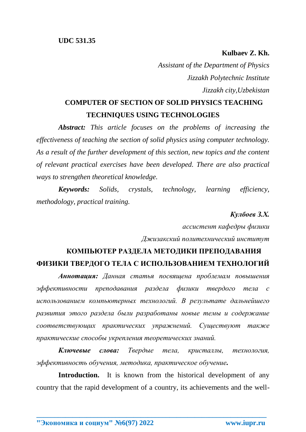**Kulbaev Z. Kh.**

*Assistant of the Department of Physics Jizzakh Polytechnic Institute Jizzakh city,Uzbekistan*

## **COMPUTER OF SECTION OF SOLID PHYSICS TEACHING TECHNIQUES USING TECHNOLOGIES**

*Abstract: This article focuses on the problems of increasing the effectiveness of teaching the section of solid physics using computer technology. As a result of the further development of this section, new topics and the content of relevant practical exercises have been developed. There are also practical ways to strengthen theoretical knowledge.*

*Keywords: Solids, crystals, technology, learning efficiency, methodology, practical training.*

## *Кулбоев З.Х.*

*ассистент кафедры физики Джизакский политехнический институт*

## **КОМПЬЮТЕР РАЗДЕЛА МЕТОДИКИ ПРЕПОДАВАНИЯ ФИЗИКИ ТВЕРДОГО ТЕЛА С ИСПОЛЬЗОВАНИЕМ ТЕХНОЛОГИЙ**

*Аннотация: Данная статья посвящена проблемам повышения эффективности преподавания раздела физики твердого тела с использованием компьютерных технологий. В результате дальнейшего развития этого раздела были разработаны новые темы и содержание соответствующих практических упражнений. Существуют также практические способы укрепления теоретических знаний.*

*Ключевые слова: Твердые тела, кристаллы, технология, эффективность обучения, методика, практическое обучение.*

**Introduction.** It is known from the historical development of any country that the rapid development of a country, its achievements and the well-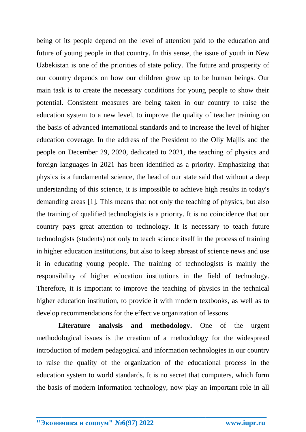being of its people depend on the level of attention paid to the education and future of young people in that country. In this sense, the issue of youth in New Uzbekistan is one of the priorities of state policy. The future and prosperity of our country depends on how our children grow up to be human beings. Our main task is to create the necessary conditions for young people to show their potential. Consistent measures are being taken in our country to raise the education system to a new level, to improve the quality of teacher training on the basis of advanced international standards and to increase the level of higher education coverage. In the address of the President to the Oliy Majlis and the people on December 29, 2020, dedicated to 2021, the teaching of physics and foreign languages in 2021 has been identified as a priority. Emphasizing that physics is a fundamental science, the head of our state said that without a deep understanding of this science, it is impossible to achieve high results in today's demanding areas [1]. This means that not only the teaching of physics, but also the training of qualified technologists is a priority. It is no coincidence that our country pays great attention to technology. It is necessary to teach future technologists (students) not only to teach science itself in the process of training in higher education institutions, but also to keep abreast of science news and use it in educating young people. The training of technologists is mainly the responsibility of higher education institutions in the field of technology. Therefore, it is important to improve the teaching of physics in the technical higher education institution, to provide it with modern textbooks, as well as to develop recommendations for the effective organization of lessons.

**Literature analysis and methodology.** One of the urgent methodological issues is the creation of a methodology for the widespread introduction of modern pedagogical and information technologies in our country to raise the quality of the organization of the educational process in the education system to world standards. It is no secret that computers, which form the basis of modern information technology, now play an important role in all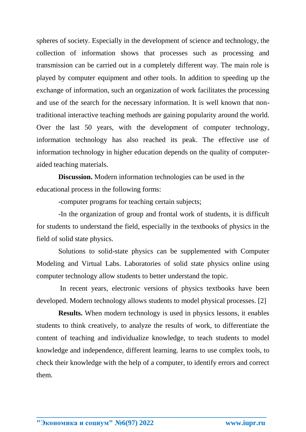spheres of society. Especially in the development of science and technology, the collection of information shows that processes such as processing and transmission can be carried out in a completely different way. The main role is played by computer equipment and other tools. In addition to speeding up the exchange of information, such an organization of work facilitates the processing and use of the search for the necessary information. It is well known that nontraditional interactive teaching methods are gaining popularity around the world. Over the last 50 years, with the development of computer technology, information technology has also reached its peak. The effective use of information technology in higher education depends on the quality of computeraided teaching materials.

**Discussion.** Modern information technologies can be used in the educational process in the following forms:

-computer programs for teaching certain subjects;

-In the organization of group and frontal work of students, it is difficult for students to understand the field, especially in the textbooks of physics in the field of solid state physics.

Solutions to solid-state physics can be supplemented with Computer Modeling and Virtual Labs. Laboratories of solid state physics online using computer technology allow students to better understand the topic.

In recent years, electronic versions of physics textbooks have been developed. Modern technology allows students to model physical processes. [2]

**Results.** When modern technology is used in physics lessons, it enables students to think creatively, to analyze the results of work, to differentiate the content of teaching and individualize knowledge, to teach students to model knowledge and independence, different learning. learns to use complex tools, to check their knowledge with the help of a computer, to identify errors and correct them.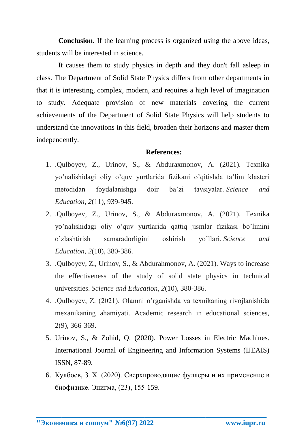**Conclusion.** If the learning process is organized using the above ideas, students will be interested in science.

It causes them to study physics in depth and they don't fall asleep in class. The Department of Solid State Physics differs from other departments in that it is interesting, complex, modern, and requires a high level of imagination to study. Adequate provision of new materials covering the current achievements of the Department of Solid State Physics will help students to understand the innovations in this field, broaden their horizons and master them independently.

## **References:**

- 1. .Qulboyev, Z., Urinov, S., & Abduraxmonov, A. (2021). Texnika yo'nalishidagi oliy o'quv yurtlarida fizikani o'qitishda ta'lim klasteri metodidan foydalanishga doir ba'zi tavsiyalar. *Science and Education*, *2*(11), 939-945.
- 2. .Qulboyev, Z., Urinov, S., & Abduraxmonov, A. (2021). Texnika yo'nalishidagi oliy o'quv yurtlarida qattiq jismlar fizikasi bo'limini o'zlashtirish samaradorligini oshirish yo'llari. *Science and Education*, *2*(10), 380-386.
- 3. .Qulboyev, Z., Urinov, S., & Abdurahmonov, A. (2021). Ways to increase the effectiveness of the study of solid state physics in technical universities. *Science and Education*, *2*(10), 380-386.
- 4. .Qulboyev, Z. (2021). Olamni o'rganishda va texnikaning rivojlanishida mexanikaning ahamiyati. Academic research in educational sciences, 2(9), 366-369.
- 5. Urinov, S., & Zohid, Q. (2020). Power Losses in Electric Machines. International Journal of Engineering and Information Systems (IJEAIS) ISSN, 87-89.
- 6. Кулбоев, З. Х. (2020). Сверхпроводящие фуллеры и их применение в биофизике. Энигма, (23), 155-159.